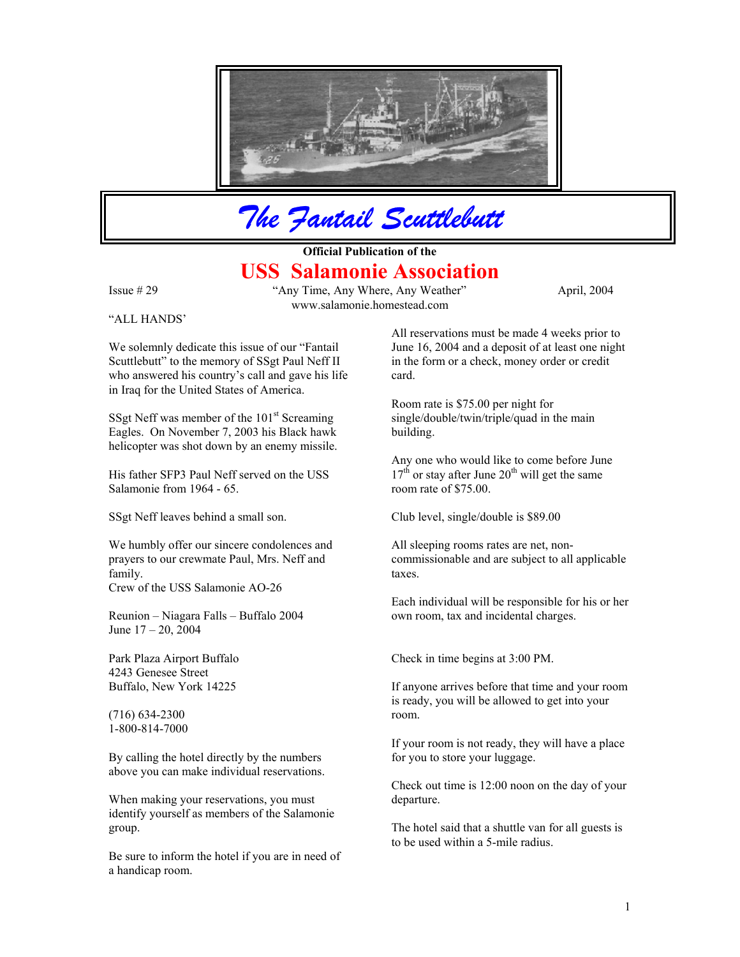

*The Fantail Scuttlebutt*

## **Official Publication of the USS Salamonie Association**

"ALL HANDS'

Issue # 29 "Any Time, Any Where, Any Weather" April, 2004 www.salamonie.homestead.com

We solemnly dedicate this issue of our "Fantail Scuttlebutt" to the memory of SSgt Paul Neff II who answered his country's call and gave his life in Iraq for the United States of America.

SSgt Neff was member of the  $101<sup>st</sup>$  Screaming Eagles. On November 7, 2003 his Black hawk helicopter was shot down by an enemy missile.

His father SFP3 Paul Neff served on the USS Salamonie from 1964 - 65.

SSgt Neff leaves behind a small son. Club level, single/double is \$89.00

We humbly offer our sincere condolences and prayers to our crewmate Paul, Mrs. Neff and family.

Crew of the USS Salamonie AO-26

Reunion – Niagara Falls – Buffalo 2004 own room, tax and incidental charges. June 17 – 20, 2004

4243 Genesee Street Buffalo, New York 14225

(716) 634-2300 1-800-814-7000

By calling the hotel directly by the numbers for you to store your luggage. above you can make individual reservations.

When making your reservations, you must departure. identify yourself as members of the Salamonie

Be sure to inform the hotel if you are in need of a handicap room.

All reservations must be made 4 weeks prior to June 16, 2004 and a deposit of at least one night in the form or a check, money order or credit card.

Room rate is \$75.00 per night for single/double/twin/triple/quad in the main building.

 Any one who would like to come before June  $17<sup>th</sup>$  or stay after June  $20<sup>th</sup>$  will get the same room rate of \$75.00.

All sleeping rooms rates are net, noncommissionable and are subject to all applicable taxes.

Each individual will be responsible for his or her

Park Plaza Airport Buffalo Check in time begins at 3:00 PM.

If anyone arrives before that time and your room is ready, you will be allowed to get into your room.

If your room is not ready, they will have a place

Check out time is 12:00 noon on the day of your

group. The hotel said that a shuttle van for all guests is to be used within a 5-mile radius.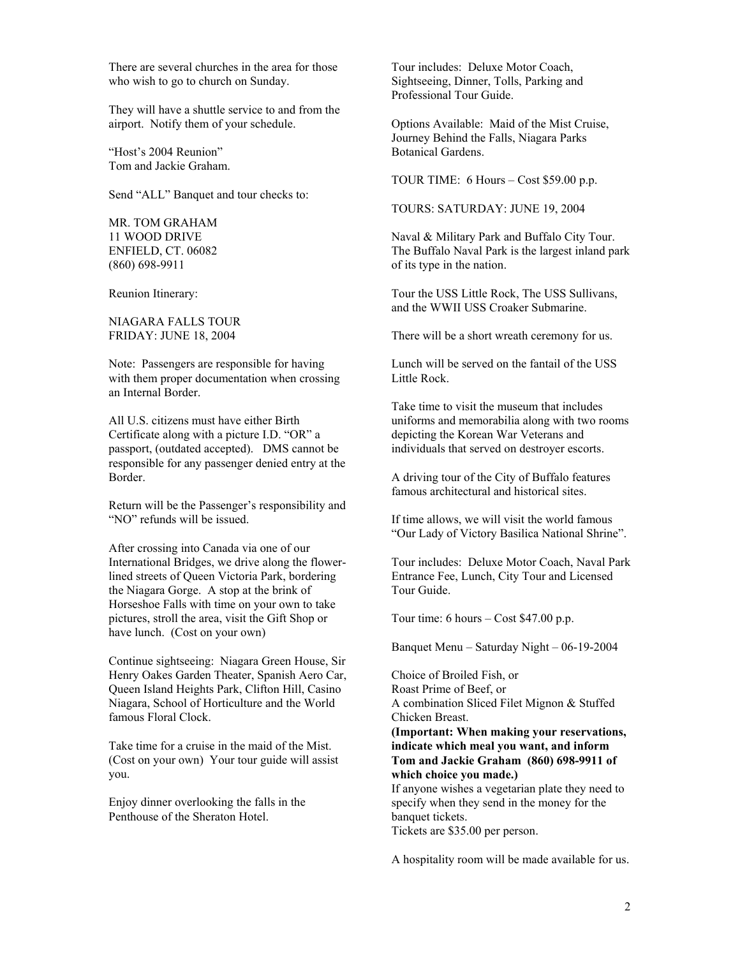There are several churches in the area for those who wish to go to church on Sunday.

They will have a shuttle service to and from the airport. Notify them of your schedule. Options Available: Maid of the Mist Cruise,

"Host's 2004 Reunion" Botanical Gardens. Tom and Jackie Graham.

Send "ALL" Banquet and tour checks to:

MR. TOM GRAHAM

NIAGARA FALLS TOUR

Note: Passengers are responsible for having with them proper documentation when crossing an Internal Border.

All U.S. citizens must have either Birth Certificate along with a picture I.D. "OR" a passport, (outdated accepted). DMS cannot be responsible for any passenger denied entry at the Border. A driving tour of the City of Buffalo features

Return will be the Passenger's responsibility and "NO" refunds will be issued. If time allows, we will visit the world famous

After crossing into Canada via one of our International Bridges, we drive along the flowerlined streets of Queen Victoria Park, bordering the Niagara Gorge. A stop at the brink of Horseshoe Falls with time on your own to take pictures, stroll the area, visit the Gift Shop or have lunch. (Cost on your own)

Continue sightseeing: Niagara Green House, Sir Henry Oakes Garden Theater, Spanish Aero Car, Queen Island Heights Park, Clifton Hill, Casino Niagara, School of Horticulture and the World famous Floral Clock.

Take time for a cruise in the maid of the Mist. (Cost on your own) Your tour guide will assist you.

Enjoy dinner overlooking the falls in the Penthouse of the Sheraton Hotel.

Tour includes: Deluxe Motor Coach, Sightseeing, Dinner, Tolls, Parking and Professional Tour Guide.

Journey Behind the Falls, Niagara Parks

TOUR TIME: 6 Hours – Cost \$59.00 p.p.

TOURS: SATURDAY: JUNE 19, 2004

11 WOOD DRIVE Naval & Military Park and Buffalo City Tour. ENFIELD, CT. 06082 The Buffalo Naval Park is the largest inland park (860) 698-9911 of its type in the nation.

Reunion Itinerary: Tour the USS Little Rock, The USS Sullivans, and the WWII USS Croaker Submarine.

FRIDAY: JUNE 18, 2004 There will be a short wreath ceremony for us.

Lunch will be served on the fantail of the USS Little Rock.

Take time to visit the museum that includes uniforms and memorabilia along with two rooms depicting the Korean War Veterans and individuals that served on destroyer escorts.

famous architectural and historical sites.

"Our Lady of Victory Basilica National Shrine".

Tour includes: Deluxe Motor Coach, Naval Park Entrance Fee, Lunch, City Tour and Licensed Tour Guide.

Tour time: 6 hours – Cost \$47.00 p.p.

Banquet Menu – Saturday Night – 06-19-2004

Choice of Broiled Fish, or Roast Prime of Beef, or A combination Sliced Filet Mignon & Stuffed Chicken Breast. **(Important: When making your reservations, indicate which meal you want, and inform Tom and Jackie Graham (860) 698-9911 of which choice you made.)** If anyone wishes a vegetarian plate they need to specify when they send in the money for the banquet tickets. Tickets are \$35.00 per person.

A hospitality room will be made available for us.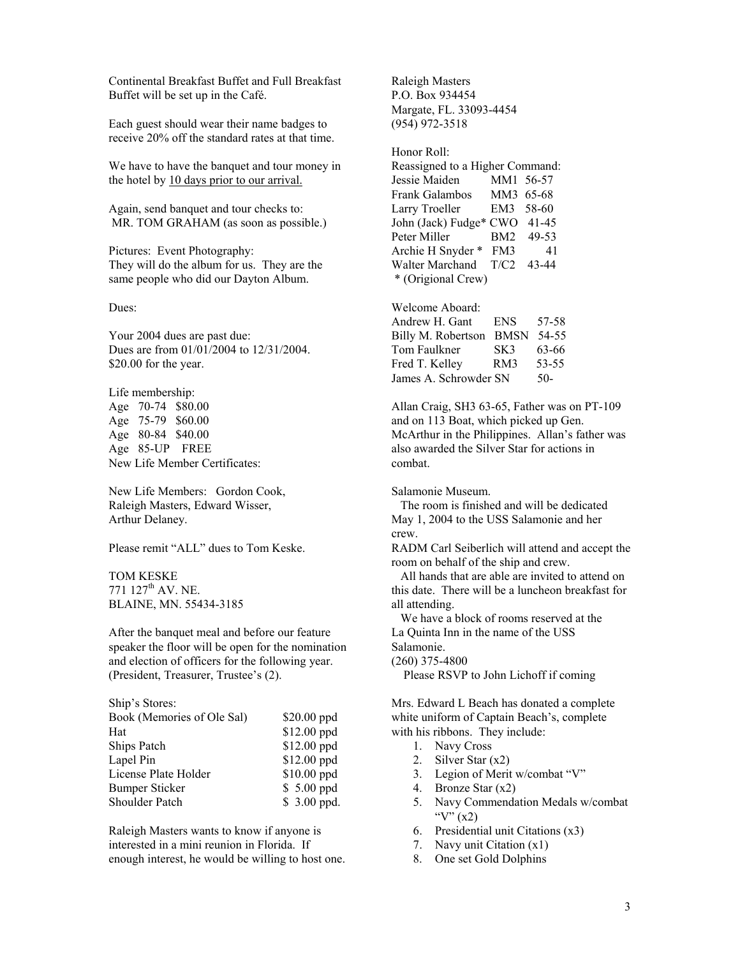Continental Breakfast Buffet and Full Breakfast Buffet will be set up in the Café.

Each guest should wear their name badges to receive 20% off the standard rates at that time.

We have to have the banquet and tour money in the hotel by 10 days prior to our arrival.

Again, send banquet and tour checks to: Larry Troeller EM3 58-60<br>MR. TOM GRAHAM (as soon as possible.) John (Jack) Fudge\* CWO 41-45 MR. TOM GRAHAM (as soon as possible.)

Pictures: Event Photography:  $\overline{P}$  Archie H Snyder \* FM3 41 They will do the album for us. They are the same people who did our Dayton Album.

Your 2004 dues are past due: Dues are from 01/01/2004 to 12/31/2004.  $$20.00$  for the year.

Life membership: Age 75-79 \$60.00 Age 80-84 \$40.00 Age 85-UP FREE New Life Member Certificates:

New Life Members: Gordon Cook, Raleigh Masters, Edward Wisser, Arthur Delaney.

771 127<sup>th</sup> AV. NE. BLAINE, MN. 55434-3185

After the banquet meal and before our feature speaker the floor will be open for the nomination and election of officers for the following year. (President, Treasurer, Trustee's (2). Please RSVP to John Lichoff if coming

| Book (Memories of Ole Sal) | $$20.00$ ppd |
|----------------------------|--------------|
| Hat                        | \$12.00 ppd  |
| Ships Patch                | \$12.00 ppd  |
| Lapel Pin                  | $$12.00$ ppd |
| License Plate Holder       | \$10.00 ppd  |
| <b>Bumper Sticker</b>      | $$5.00$ ppd  |
| Shoulder Patch             | \$ 3.00 ppd. |

Raleigh Masters wants to know if anyone is interested in a mini reunion in Florida. If enough interest, he would be willing to host one.

Raleigh Masters P.O. Box 934454 Margate, FL. 33093-4454 (954) 972-3518

Honor Roll: Reassigned to a Higher Command: Jessie Maiden MM1 56-57 Frank Galambos MM3 65-68 Peter Miller BM2 49-53 Walter Marchand T/C2 43-44 \* (Origional Crew)

Dues: Welcome Aboard:

| Andrew H. Gant        | <b>ENS</b>  | 57-58 |
|-----------------------|-------------|-------|
| Billy M. Robertson    | <b>BMSN</b> | 54-55 |
| Tom Faulkner          | SK3         | 63-66 |
| Fred T. Kelley        | RM3         | 53-55 |
| James A. Schrowder SN |             | 50-   |

Age 70-74 \$80.00 Allan Craig, SH3 63-65, Father was on PT-109 and on 113 Boat, which picked up Gen. McArthur in the Philippines. Allan's father was also awarded the Silver Star for actions in combat.

Salamonie Museum.

 The room is finished and will be dedicated May 1, 2004 to the USS Salamonie and her crew.

Please remit "ALL" dues to Tom Keske. RADM Carl Seiberlich will attend and accept the room on behalf of the ship and crew.

TOM KESKE All hands that are able are invited to attend on this date. There will be a luncheon breakfast for all attending.

> We have a block of rooms reserved at the La Quinta Inn in the name of the USS Salamonie.

(260) 375-4800

Ship's Stores: Mrs. Edward L Beach has donated a complete white uniform of Captain Beach's, complete with his ribbons. They include:

- 1. Navy Cross
- 2. Silver Star  $(x2)$
- 3. Legion of Merit w/combat "V"
- 4. Bronze Star  $(x2)$
- 5. Navy Commendation Medals w/combat " $V''(x2)$
- 6. Presidential unit Citations (x3)
- 7. Navy unit Citation (x1)
- 8. One set Gold Dolphins